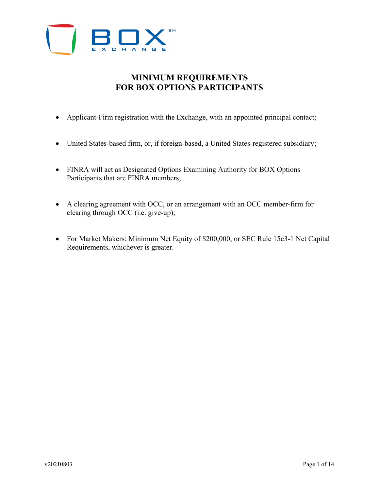

# **MINIMUM REQUIREMENTS FOR BOX OPTIONS PARTICIPANTS**

- Applicant-Firm registration with the Exchange, with an appointed principal contact;
- United States-based firm, or, if foreign-based, a United States-registered subsidiary;
- FINRA will act as Designated Options Examining Authority for BOX Options Participants that are FINRA members;
- A clearing agreement with OCC, or an arrangement with an OCC member-firm for clearing through OCC (i.e. give-up);
- For Market Makers: Minimum Net Equity of \$200,000, or SEC Rule 15c3-1 Net Capital Requirements, whichever is greater.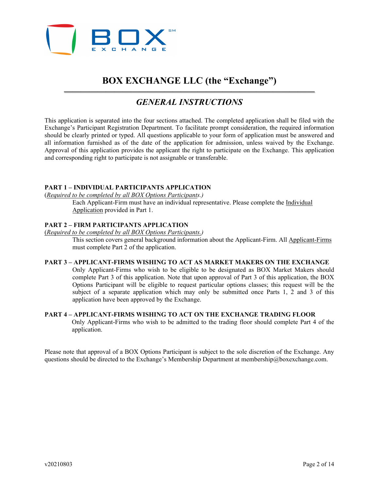

# **BOX EXCHANGE LLC (the "Exchange")**

## *—————————————————————————————— GENERAL INSTRUCTIONS*

This application is separated into the four sections attached. The completed application shall be filed with the Exchange's Participant Registration Department. To facilitate prompt consideration, the required information should be clearly printed or typed. All questions applicable to your form of application must be answered and all information furnished as of the date of the application for admission, unless waived by the Exchange. Approval of this application provides the applicant the right to participate on the Exchange. This application and corresponding right to participate is not assignable or transferable.

## **PART 1 – INDIVIDUAL PARTICIPANTS APPLICATION**

(*Required to be completed by all BOX Options Participants.)*

Each Applicant-Firm must have an individual representative. Please complete the Individual Application provided in Part 1.

## **PART 2 – FIRM PARTICIPANTS APPLICATION**

(*Required to be completed by all BOX Options Participants.)*

This section covers general background information about the Applicant-Firm. All Applicant-Firms must complete Part 2 of the application.

## **PART 3 – APPLICANT-FIRMS WISHING TO ACT AS MARKET MAKERS ON THE EXCHANGE**

Only Applicant-Firms who wish to be eligible to be designated as BOX Market Makers should complete Part 3 of this application. Note that upon approval of Part 3 of this application, the BOX Options Participant will be eligible to request particular options classes; this request will be the subject of a separate application which may only be submitted once Parts 1, 2 and 3 of this application have been approved by the Exchange.

## **PART 4 – APPLICANT-FIRMS WISHING TO ACT ON THE EXCHANGE TRADING FLOOR**  Only Applicant-Firms who wish to be admitted to the trading floor should complete Part 4 of the application.

Please note that approval of a BOX Options Participant is subject to the sole discretion of the Exchange. Any questions should be directed to the Exchange's Membership Department at membership@boxexchange.com.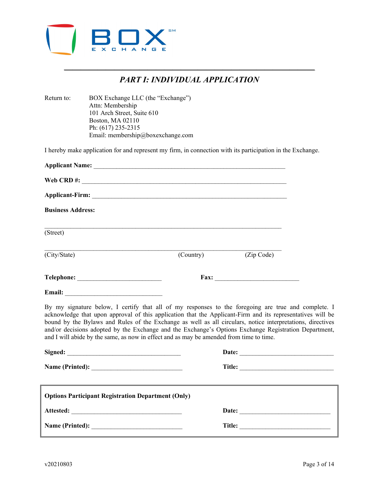

## *—————————————————————————————— PART I: INDIVIDUAL APPLICATION*

| Return to:               | BOX Exchange LLC (the "Exchange")<br>Attn: Membership<br>101 Arch Street, Suite 610<br>Boston, MA 02110<br>Ph: (617) 235-2315<br>Email: membership@boxexchange.com                                                             |           |                                                                                                                                                                                                                                                                                                                                                                                                                                          |
|--------------------------|--------------------------------------------------------------------------------------------------------------------------------------------------------------------------------------------------------------------------------|-----------|------------------------------------------------------------------------------------------------------------------------------------------------------------------------------------------------------------------------------------------------------------------------------------------------------------------------------------------------------------------------------------------------------------------------------------------|
|                          |                                                                                                                                                                                                                                |           | I hereby make application for and represent my firm, in connection with its participation in the Exchange.                                                                                                                                                                                                                                                                                                                               |
|                          |                                                                                                                                                                                                                                |           |                                                                                                                                                                                                                                                                                                                                                                                                                                          |
|                          |                                                                                                                                                                                                                                |           |                                                                                                                                                                                                                                                                                                                                                                                                                                          |
|                          |                                                                                                                                                                                                                                |           |                                                                                                                                                                                                                                                                                                                                                                                                                                          |
| <b>Business Address:</b> |                                                                                                                                                                                                                                |           |                                                                                                                                                                                                                                                                                                                                                                                                                                          |
| (Street)                 |                                                                                                                                                                                                                                |           |                                                                                                                                                                                                                                                                                                                                                                                                                                          |
| (City/State)             |                                                                                                                                                                                                                                | (Country) | (Zip Code)                                                                                                                                                                                                                                                                                                                                                                                                                               |
|                          | Telephone: New York Changes and Security Changes and Security Changes and Security Changes and Security Changes and Security Changes and Security Changes and Security Changes and Security Changes and Security Changes and S |           | Fax: $\qquad \qquad$                                                                                                                                                                                                                                                                                                                                                                                                                     |
|                          |                                                                                                                                                                                                                                |           |                                                                                                                                                                                                                                                                                                                                                                                                                                          |
|                          | and I will abide by the same, as now in effect and as may be amended from time to time.                                                                                                                                        |           | By my signature below, I certify that all of my responses to the foregoing are true and complete. I<br>acknowledge that upon approval of this application that the Applicant-Firm and its representatives will be<br>bound by the Bylaws and Rules of the Exchange as well as all circulars, notice interpretations, directives<br>and/or decisions adopted by the Exchange and the Exchange's Options Exchange Registration Department, |
|                          | Signed:                                                                                                                                                                                                                        |           | Date: the contract of the contract of the contract of the contract of the contract of the contract of the contract of the contract of the contract of the contract of the contract of the contract of the contract of the cont                                                                                                                                                                                                           |
|                          |                                                                                                                                                                                                                                |           |                                                                                                                                                                                                                                                                                                                                                                                                                                          |
|                          | <b>Options Participant Registration Department (Only)</b>                                                                                                                                                                      |           |                                                                                                                                                                                                                                                                                                                                                                                                                                          |
|                          |                                                                                                                                                                                                                                |           |                                                                                                                                                                                                                                                                                                                                                                                                                                          |
|                          | Name (Printed):                                                                                                                                                                                                                |           |                                                                                                                                                                                                                                                                                                                                                                                                                                          |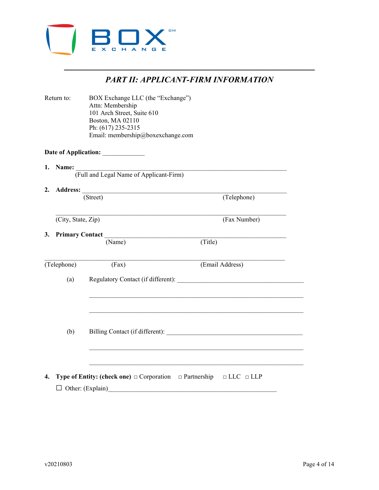

| <b>PART II: APPLICANT-FIRM INFORMATION</b> |  |
|--------------------------------------------|--|
|                                            |  |

| Return to: |                    | BOX Exchange LLC (the "Exchange")<br>Attn: Membership<br>101 Arch Street, Suite 610<br>Boston, MA 02110<br>Ph: (617) 235-2315<br>Email: membership@boxexchange.com |                 |  |
|------------|--------------------|--------------------------------------------------------------------------------------------------------------------------------------------------------------------|-----------------|--|
|            |                    |                                                                                                                                                                    |                 |  |
|            |                    |                                                                                                                                                                    |                 |  |
|            |                    | 1. Name: Tull and Legal Name of Applicant-Firm)                                                                                                                    |                 |  |
|            |                    | (Street)                                                                                                                                                           | (Telephone)     |  |
|            |                    |                                                                                                                                                                    |                 |  |
|            | (City, State, Zip) |                                                                                                                                                                    | (Fax Number)    |  |
|            | 3. Primary Contact | (Name)                                                                                                                                                             | (Title)         |  |
|            | (Telephone)        | (Fax)                                                                                                                                                              | (Email Address) |  |
|            | (a)                | Regulatory Contact (if different):                                                                                                                                 |                 |  |
|            |                    |                                                                                                                                                                    |                 |  |
|            | (b)                | Billing Contact (if different):                                                                                                                                    |                 |  |
|            |                    |                                                                                                                                                                    |                 |  |
| 4.         |                    | <b>Type of Entity: (check one)</b> $\Box$ Corporation $\Box$ Partnership $\Box$ LLC $\Box$ LLP                                                                     |                 |  |
|            |                    | $\Box$ Other: (Explain)                                                                                                                                            |                 |  |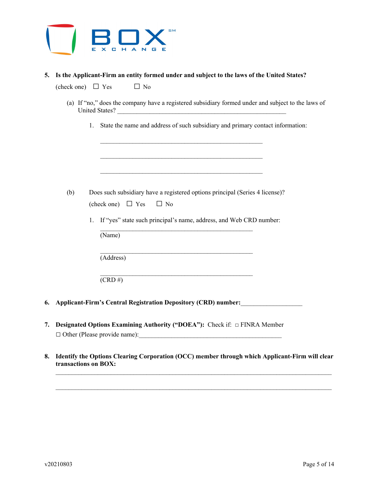

## **5. Is the Applicant-Firm an entity formed under and subject to the laws of the United States?**

(check one)  $\Box$  Yes  $\Box$  No

- (a) If "no," does the company have a registered subsidiary formed under and subject to the laws of United States?
	- 1. State the name and address of such subsidiary and primary contact information:

| (b) | Does such subsidiary have a registered options principal (Series 4 license)? |  |  |  |
|-----|------------------------------------------------------------------------------|--|--|--|
|     | (check one) $\Box$ Yes $\Box$ No                                             |  |  |  |

\_\_\_\_\_\_\_\_\_\_\_\_\_\_\_\_\_\_\_\_\_\_\_\_\_\_\_\_\_\_\_\_\_\_\_\_\_\_\_\_\_\_\_\_\_\_\_

\_\_\_\_\_\_\_\_\_\_\_\_\_\_\_\_\_\_\_\_\_\_\_\_\_\_\_\_\_\_\_\_\_\_\_\_\_\_\_\_\_\_\_\_\_\_\_

\_\_\_\_\_\_\_\_\_\_\_\_\_\_\_\_\_\_\_\_\_\_\_\_\_\_\_\_\_\_\_\_\_\_\_\_\_\_\_\_\_\_\_\_\_\_\_

\_\_\_\_\_\_\_\_\_\_\_\_\_\_\_\_\_\_\_\_\_\_\_\_\_\_\_\_\_\_\_\_\_\_\_\_\_\_\_\_\_\_\_\_\_\_\_\_\_\_

\_\_\_\_\_\_\_\_\_\_\_\_\_\_\_\_\_\_\_\_\_\_\_\_\_\_\_\_\_\_\_\_\_\_\_\_\_\_\_\_\_\_\_\_\_\_\_\_\_\_

\_\_\_\_\_\_\_\_\_\_\_\_\_\_\_\_\_\_\_\_\_\_\_\_\_\_\_\_\_\_\_\_\_\_\_\_\_\_\_\_\_\_\_\_\_\_\_\_\_\_

1. If "yes" state such principal's name, address, and Web CRD number:

(Name)

(Address)

 $(CRD \#)$ 

- **6. Applicant-Firm's Central Registration Depository (CRD) number:**\_\_\_\_\_\_\_\_\_\_\_\_\_\_\_\_\_\_\_
- **7. Designated Options Examining Authority ("DOEA"):** Check if: □ FINRA Member □ Other (Please provide name):\_\_\_\_\_\_\_\_\_\_\_\_\_\_\_\_\_\_\_\_\_\_\_\_\_\_\_\_\_\_\_\_\_\_\_\_\_\_\_\_\_\_\_\_
- **8. Identify the Options Clearing Corporation (OCC) member through which Applicant-Firm will clear transactions on BOX:**

 $\_$  , and the state of the state of the state of the state of the state of the state of the state of the state of the state of the state of the state of the state of the state of the state of the state of the state of the

 $\mathcal{L}_\text{max}$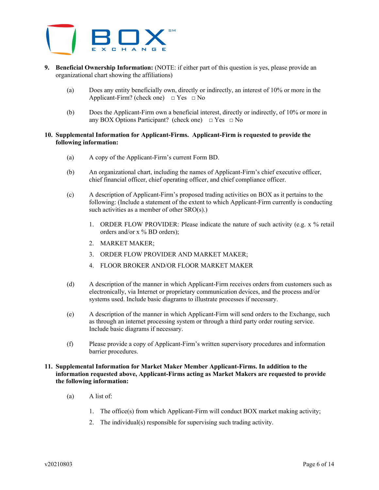

- **9. Beneficial Ownership Information:** (NOTE: if either part of this question is yes, please provide an organizational chart showing the affiliations)
	- (a) Does any entity beneficially own, directly or indirectly, an interest of 10% or more in the Applicant-Firm? (check one)  $\Box$  Yes  $\Box$  No
	- (b) Does the Applicant-Firm own a beneficial interest, directly or indirectly, of 10% or more in any BOX Options Participant? (check one)  $\Box$  Yes  $\Box$  No

## **10. Supplemental Information for Applicant-Firms. Applicant-Firm is requested to provide the following information:**

- (a) A copy of the Applicant-Firm's current Form BD.
- (b) An organizational chart, including the names of Applicant-Firm's chief executive officer, chief financial officer, chief operating officer, and chief compliance officer.
- (c) A description of Applicant-Firm's proposed trading activities on BOX as it pertains to the following: (Include a statement of the extent to which Applicant-Firm currently is conducting such activities as a member of other SRO(s).)
	- 1. ORDER FLOW PROVIDER: Please indicate the nature of such activity (e.g. x % retail orders and/or x % BD orders);
	- 2. MARKET MAKER;
	- 3. ORDER FLOW PROVIDER AND MARKET MAKER;
	- 4. FLOOR BROKER AND/OR FLOOR MARKET MAKER
- (d) A description of the manner in which Applicant-Firm receives orders from customers such as electronically, via Internet or proprietary communication devices, and the process and/or systems used. Include basic diagrams to illustrate processes if necessary.
- (e) A description of the manner in which Applicant-Firm will send orders to the Exchange, such as through an internet processing system or through a third party order routing service. Include basic diagrams if necessary.
- (f) Please provide a copy of Applicant-Firm's written supervisory procedures and information barrier procedures.

## **11. Supplemental Information for Market Maker Member Applicant-Firms. In addition to the information requested above, Applicant-Firms acting as Market Makers are requested to provide the following information:**

- (a) A list of:
	- 1. The office(s) from which Applicant-Firm will conduct BOX market making activity;
	- 2. The individual(s) responsible for supervising such trading activity.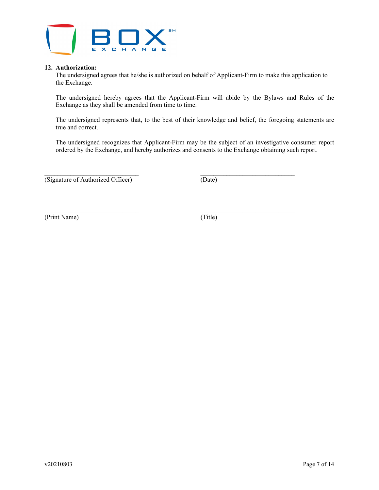

## **12. Authorization:**

The undersigned agrees that he/she is authorized on behalf of Applicant-Firm to make this application to the Exchange.

The undersigned hereby agrees that the Applicant-Firm will abide by the Bylaws and Rules of the Exchange as they shall be amended from time to time.

The undersigned represents that, to the best of their knowledge and belief, the foregoing statements are true and correct.

The undersigned recognizes that Applicant-Firm may be the subject of an investigative consumer report ordered by the Exchange, and hereby authorizes and consents to the Exchange obtaining such report.

\_\_\_\_\_\_\_\_\_\_\_\_\_\_\_\_\_\_\_\_\_\_\_\_\_\_\_\_\_ \_\_\_\_\_\_\_\_\_\_\_\_\_\_\_\_\_\_\_\_\_\_\_\_\_\_\_\_\_ (Signature of Authorized Officer) (Date)

(Print Name) (Title)

\_\_\_\_\_\_\_\_\_\_\_\_\_\_\_\_\_\_\_\_\_\_\_\_\_\_\_\_\_ \_\_\_\_\_\_\_\_\_\_\_\_\_\_\_\_\_\_\_\_\_\_\_\_\_\_\_\_\_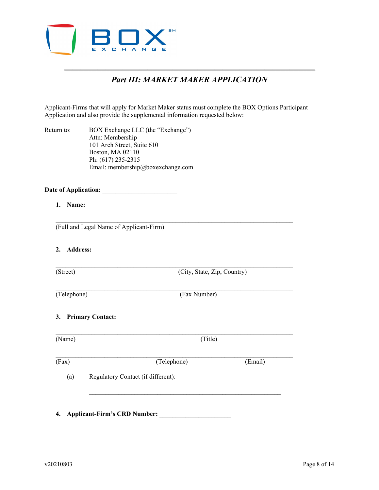

## *—————————————————————————————— Part III: MARKET MAKER APPLICATION*

Applicant-Firms that will apply for Market Maker status must complete the BOX Options Participant Application and also provide the supplemental information requested below:

 $\mathcal{L}_\mathcal{L} = \{ \mathcal{L}_\mathcal{L} = \{ \mathcal{L}_\mathcal{L} = \{ \mathcal{L}_\mathcal{L} = \{ \mathcal{L}_\mathcal{L} = \{ \mathcal{L}_\mathcal{L} = \{ \mathcal{L}_\mathcal{L} = \{ \mathcal{L}_\mathcal{L} = \{ \mathcal{L}_\mathcal{L} = \{ \mathcal{L}_\mathcal{L} = \{ \mathcal{L}_\mathcal{L} = \{ \mathcal{L}_\mathcal{L} = \{ \mathcal{L}_\mathcal{L} = \{ \mathcal{L}_\mathcal{L} = \{ \mathcal{L}_\mathcal{$ 

 $\mathcal{L}_\mathcal{L} = \{ \mathcal{L}_\mathcal{L} = \{ \mathcal{L}_\mathcal{L} = \{ \mathcal{L}_\mathcal{L} = \{ \mathcal{L}_\mathcal{L} = \{ \mathcal{L}_\mathcal{L} = \{ \mathcal{L}_\mathcal{L} = \{ \mathcal{L}_\mathcal{L} = \{ \mathcal{L}_\mathcal{L} = \{ \mathcal{L}_\mathcal{L} = \{ \mathcal{L}_\mathcal{L} = \{ \mathcal{L}_\mathcal{L} = \{ \mathcal{L}_\mathcal{L} = \{ \mathcal{L}_\mathcal{L} = \{ \mathcal{L}_\mathcal{$ 

Return to: BOX Exchange LLC (the "Exchange") Attn: Membership 101 Arch Street, Suite 610 Boston, MA 02110 Ph: (617) 235-2315 Email: membership@boxexchange.com

#### Date of Application:

**1. Name:**

(Full and Legal Name of Applicant-Firm)

- **2. Address:**
- 

(Street) (City, State, Zip, Country)

 $\mathcal{L}_\mathcal{L} = \mathcal{L}_\mathcal{L} = \mathcal{L}_\mathcal{L} = \mathcal{L}_\mathcal{L} = \mathcal{L}_\mathcal{L} = \mathcal{L}_\mathcal{L} = \mathcal{L}_\mathcal{L} = \mathcal{L}_\mathcal{L} = \mathcal{L}_\mathcal{L} = \mathcal{L}_\mathcal{L} = \mathcal{L}_\mathcal{L} = \mathcal{L}_\mathcal{L} = \mathcal{L}_\mathcal{L} = \mathcal{L}_\mathcal{L} = \mathcal{L}_\mathcal{L} = \mathcal{L}_\mathcal{L} = \mathcal{L}_\mathcal{L}$ (Telephone) (Fax Number)

**3. Primary Contact:**

 $\mathcal{L}_\mathcal{L} = \{ \mathcal{L}_\mathcal{L} = \{ \mathcal{L}_\mathcal{L} = \{ \mathcal{L}_\mathcal{L} = \{ \mathcal{L}_\mathcal{L} = \{ \mathcal{L}_\mathcal{L} = \{ \mathcal{L}_\mathcal{L} = \{ \mathcal{L}_\mathcal{L} = \{ \mathcal{L}_\mathcal{L} = \{ \mathcal{L}_\mathcal{L} = \{ \mathcal{L}_\mathcal{L} = \{ \mathcal{L}_\mathcal{L} = \{ \mathcal{L}_\mathcal{L} = \{ \mathcal{L}_\mathcal{L} = \{ \mathcal{L}_\mathcal{$ (Name) (Title)  $\mathcal{L}_\text{max}$  and  $\mathcal{L}_\text{max}$  and  $\mathcal{L}_\text{max}$  and  $\mathcal{L}_\text{max}$  and  $\mathcal{L}_\text{max}$  and  $\mathcal{L}_\text{max}$ (Fax) (Telephone) (Email)

 $\mathcal{L}_\text{max}$  and the contract of the contract of the contract of the contract of the contract of the contract of

(a) Regulatory Contact (if different):

**4. Applicant-Firm's CRD Number:** \_\_\_\_\_\_\_\_\_\_\_\_\_\_\_\_\_\_\_\_\_\_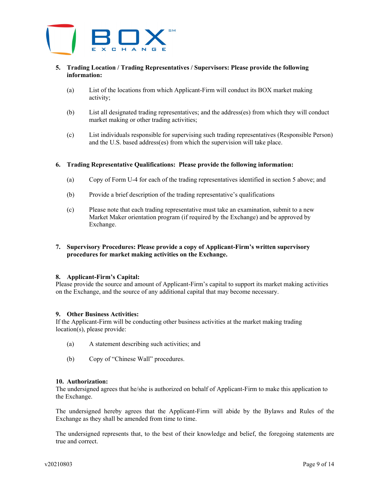

## **5. Trading Location / Trading Representatives / Supervisors: Please provide the following information:**

- (a) List of the locations from which Applicant-Firm will conduct its BOX market making activity;
- (b) List all designated trading representatives; and the address(es) from which they will conduct market making or other trading activities;
- (c) List individuals responsible for supervising such trading representatives (Responsible Person) and the U.S. based address(es) from which the supervision will take place.

#### **6. Trading Representative Qualifications: Please provide the following information:**

- (a) Copy of Form U-4 for each of the trading representatives identified in section 5 above; and
- (b) Provide a brief description of the trading representative's qualifications
- (c) Please note that each trading representative must take an examination, submit to a new Market Maker orientation program (if required by the Exchange) and be approved by Exchange.

## **7. Supervisory Procedures: Please provide a copy of Applicant-Firm's written supervisory procedures for market making activities on the Exchange.**

#### **8. Applicant-Firm's Capital:**

Please provide the source and amount of Applicant-Firm's capital to support its market making activities on the Exchange, and the source of any additional capital that may become necessary.

## **9. Other Business Activities:**

If the Applicant-Firm will be conducting other business activities at the market making trading location(s), please provide:

- (a) A statement describing such activities; and
- (b) Copy of "Chinese Wall" procedures.

#### **10. Authorization:**

The undersigned agrees that he/she is authorized on behalf of Applicant-Firm to make this application to the Exchange.

The undersigned hereby agrees that the Applicant-Firm will abide by the Bylaws and Rules of the Exchange as they shall be amended from time to time.

The undersigned represents that, to the best of their knowledge and belief, the foregoing statements are true and correct.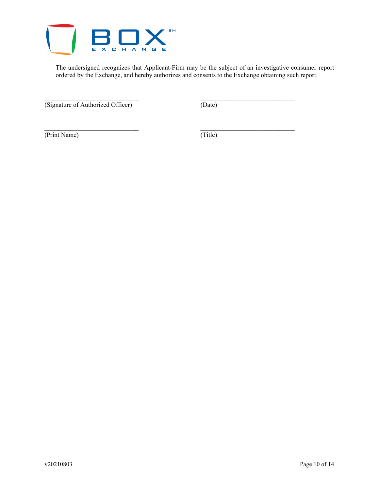

The undersigned recognizes that Applicant-Firm may be the subject of an investigative consumer report ordered by the Exchange, and hereby authorizes and consents to the Exchange obtaining such report.

\_\_\_\_\_\_\_\_\_\_\_\_\_\_\_\_\_\_\_\_\_\_\_\_\_\_\_\_\_ \_\_\_\_\_\_\_\_\_\_\_\_\_\_\_\_\_\_\_\_\_\_\_\_\_\_\_\_\_

(Signature of Authorized Officer) (Date)

(Print Name) (Title)

\_\_\_\_\_\_\_\_\_\_\_\_\_\_\_\_\_\_\_\_\_\_\_\_\_\_\_\_\_ \_\_\_\_\_\_\_\_\_\_\_\_\_\_\_\_\_\_\_\_\_\_\_\_\_\_\_\_\_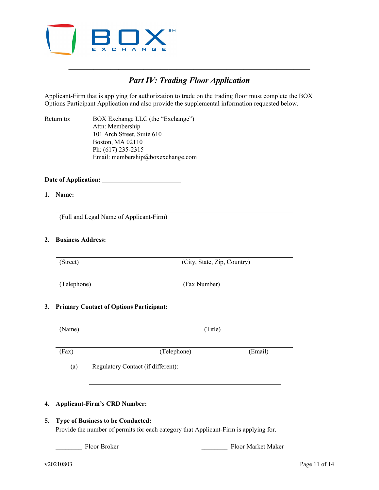

## *————————————————————————————— Part IV: Trading Floor Application*

Applicant-Firm that is applying for authorization to trade on the trading floor must complete the BOX Options Participant Application and also provide the supplemental information requested below.

Return to: BOX Exchange LLC (the "Exchange") Attn: Membership 101 Arch Street, Suite 610 Boston, MA 02110 Ph: (617) 235-2315 Email: membership@boxexchange.com

**Date of Application:**

## **1. Name:**

(Full and Legal Name of Applicant-Firm)

## **2. Business Address:**

(Street) (City, State, Zip, Country)

(Telephone) (Fax Number)

## **3. Primary Contact of Options Participant:**

(Name) (Title) (Fax) (Telephone) (Email) (a) Regulatory Contact (if different): **4. Applicant-Firm's CRD Number:** 

## **5. Type of Business to be Conducted:**

Provide the number of permits for each category that Applicant-Firm is applying for.

Floor Broker **Floor Market Maker**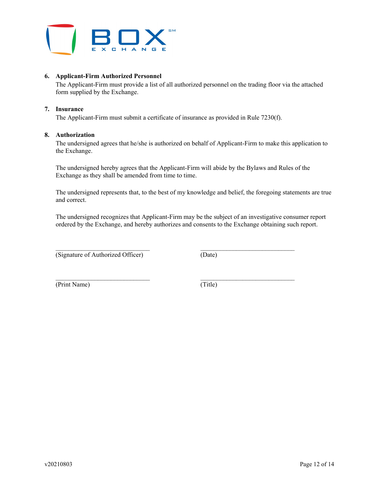

## **6. Applicant-Firm Authorized Personnel**

The Applicant-Firm must provide a list of all authorized personnel on the trading floor via the attached form supplied by the Exchange.

## **7. Insurance**

The Applicant-Firm must submit a certificate of insurance as provided in Rule 7230(f).

## **8. Authorization**

The undersigned agrees that he/she is authorized on behalf of Applicant-Firm to make this application to the Exchange.

The undersigned hereby agrees that the Applicant-Firm will abide by the Bylaws and Rules of the Exchange as they shall be amended from time to time.

The undersigned represents that, to the best of my knowledge and belief, the foregoing statements are true and correct.

The undersigned recognizes that Applicant-Firm may be the subject of an investigative consumer report ordered by the Exchange, and hereby authorizes and consents to the Exchange obtaining such report.

\_\_\_\_\_\_\_\_\_\_\_\_\_\_\_\_\_\_\_\_\_\_\_\_\_\_\_\_\_ \_\_\_\_\_\_\_\_\_\_\_\_\_\_\_\_\_\_\_\_\_\_\_\_\_\_\_\_\_

 $\mathcal{L}_\text{max}$ (Signature of Authorized Officer) (Date)

(Print Name) (Title)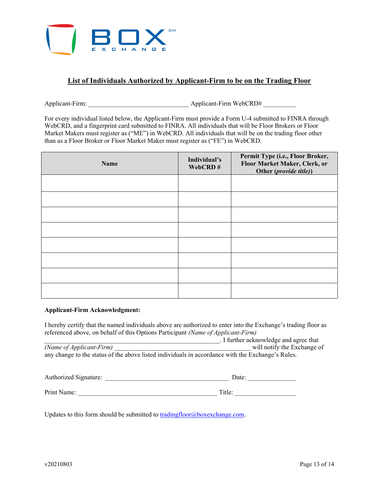

## **List of Individuals Authorized by Applicant-Firm to be on the Trading Floor**

Applicant-Firm: \_\_\_\_\_\_\_\_\_\_\_\_\_\_\_\_\_\_\_\_\_\_\_\_\_\_\_\_\_\_\_ Applicant-Firm WebCRD# \_\_\_\_\_\_\_\_\_\_

For every individual listed below, the Applicant-Firm must provide a Form U-4 submitted to FINRA through WebCRD, and a fingerprint card submitted to FINRA. All individuals that will be Floor Brokers or Floor Market Makers must register as ("ME") in WebCRD. All individuals that will be on the trading floor other than as a Floor Broker or Floor Market Maker must register as ("FE") in WebCRD.

| Name | Individual's<br>WebCRD# | Permit Type (i.e., Floor Broker,<br>Floor Market Maker, Clerk, or<br>Other (provide title)) |
|------|-------------------------|---------------------------------------------------------------------------------------------|
|      |                         |                                                                                             |
|      |                         |                                                                                             |
|      |                         |                                                                                             |
|      |                         |                                                                                             |
|      |                         |                                                                                             |
|      |                         |                                                                                             |
|      |                         |                                                                                             |
|      |                         |                                                                                             |

## **Applicant-Firm Acknowledgment:**

I hereby certify that the named individuals above are authorized to enter into the Exchange's trading floor as referenced above, on behalf of this Options Participant *(Name of Applicant-Firm)*

*Let us a let us a let us a let us a let us a let us a let us a let us a let us ull notify the Exchange of (Name of Applicant-Firm)* any change to the status of the above listed individuals in accordance with the Exchange's Rules.

| Authorized Signature: | Date:  |
|-----------------------|--------|
|                       |        |
| Print Name:           | Title: |

Updates to this form should be submitted to **tradingfloor@boxexchange.com**.